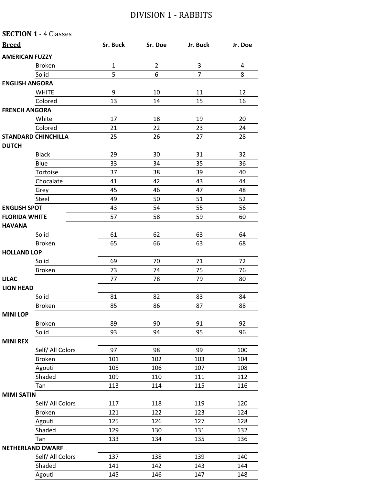## DIVISION 1 - RABBITS

|                       | <b>SECTION 1 - 4 Classes</b> |              |                |                |         |
|-----------------------|------------------------------|--------------|----------------|----------------|---------|
| <b>Breed</b>          |                              | Sr. Buck     | Sr. Doe        | Jr. Buck       | Jr. Doe |
| <b>AMERICAN FUZZY</b> |                              |              |                |                |         |
|                       | <b>Broken</b>                | $\mathbf{1}$ | $\overline{2}$ | 3              | 4       |
|                       | Solid                        | 5            | 6              | $\overline{7}$ | 8       |
| <b>ENGLISH ANGORA</b> |                              |              |                |                |         |
|                       | <b>WHITE</b>                 | 9            | 10             | 11             | 12      |
|                       | Colored                      | 13           | 14             | 15             | 16      |
| <b>FRENCH ANGORA</b>  |                              |              |                |                |         |
|                       | White                        | 17           | 18             | 19             | 20      |
|                       | Colored                      | 21           | 22             | 23             | 24      |
|                       | <b>STANDARD CHINCHILLA</b>   | 25           | 26             | 27             | 28      |
| <b>DUTCH</b>          |                              |              |                |                |         |
|                       | <b>Black</b>                 | 29           | 30             | 31             | 32      |
|                       | Blue                         | 33           | 34             | 35             | 36      |
|                       | Tortoise                     | 37           | 38             | 39             | 40      |
|                       | Chocalate                    | 41           | 42             | 43             | 44      |
|                       | Grey                         | 45           | 46             | 47             | 48      |
|                       | Steel                        | 49           | 50             | 51             | 52      |
| <b>ENGLISH SPOT</b>   |                              | 43           | 54             | 55             | 56      |
| <b>FLORIDA WHITE</b>  |                              | 57           | 58             | 59             | 60      |
| <b>HAVANA</b>         |                              |              |                |                |         |
|                       | Solid                        | 61           | 62             | 63             | 64      |
|                       | <b>Broken</b>                | 65           | 66             | 63             | 68      |
| <b>HOLLAND LOP</b>    |                              |              |                |                |         |
|                       | Solid                        | 69           | 70             | 71             | 72      |
|                       | <b>Broken</b>                | 73           | 74             | 75             | 76      |
| <b>LILAC</b>          |                              | 77           | 78             | 79             | 80      |
| <b>LION HEAD</b>      |                              |              |                |                |         |
|                       | Solid                        | 81           | 82             | 83             | 84      |
|                       | <b>Broken</b>                | 85           | 86             | 87             | 88      |
| <b>MINI LOP</b>       |                              |              |                |                |         |
|                       | <b>Broken</b>                | 89           | 90             | 91             | 92      |
|                       | Solid                        | 93           | 94             | 95             | 96      |
| <b>MINI REX</b>       |                              |              |                |                |         |
|                       | Self/ All Colors             | 97           | 98             | 99             | 100     |
|                       | <b>Broken</b>                | 101          | 102            | 103            | 104     |
|                       | Agouti                       | 105          | 106            | 107            | 108     |
|                       | Shaded                       | 109          | 110            | 111            | 112     |
|                       | Tan                          | 113          | 114            | 115            | 116     |
| <b>MIMI SATIN</b>     |                              |              |                |                |         |
|                       | Self/ All Colors             | 117          | 118            | 119            | 120     |
|                       | <b>Broken</b>                | 121          | 122            | 123            | 124     |
|                       | Agouti                       | 125          | 126            | 127            | 128     |
|                       | Shaded                       | 129          | 130            | 131            | 132     |
|                       | Tan                          | 133          | 134            | 135            | 136     |
|                       | <b>NETHERLAND DWARF</b>      |              |                |                |         |
|                       | Self/ All Colors             | 137          | 138            | 139            | 140     |
|                       | Shaded                       | 141          | 142            | 143            | 144     |
|                       | Agouti                       | 145          | 146            | 147            | 148     |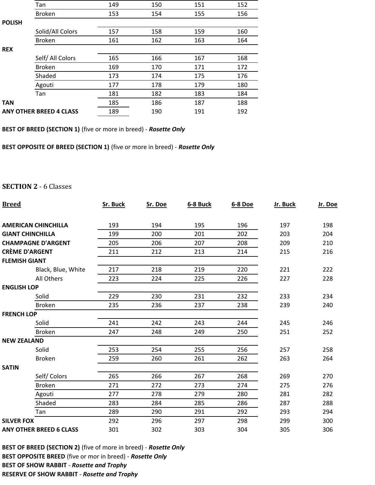|               | Tan                            | 149 | 150 | 151 | 152 |
|---------------|--------------------------------|-----|-----|-----|-----|
|               | <b>Broken</b>                  | 153 | 154 | 155 | 156 |
| <b>POLISH</b> |                                |     |     |     |     |
|               | Solid/All Colors               | 157 | 158 | 159 | 160 |
|               | <b>Broken</b>                  | 161 | 162 | 163 | 164 |
| <b>REX</b>    |                                |     |     |     |     |
|               | Self/ All Colors               | 165 | 166 | 167 | 168 |
|               | <b>Broken</b>                  | 169 | 170 | 171 | 172 |
|               | Shaded                         | 173 | 174 | 175 | 176 |
|               | Agouti                         | 177 | 178 | 179 | 180 |
|               | Tan                            | 181 | 182 | 183 | 184 |
| <b>TAN</b>    |                                | 185 | 186 | 187 | 188 |
|               | <b>ANY OTHER BREED 4 CLASS</b> | 189 | 190 | 191 | 192 |

**BEST OF BREED (SECTION 1)** (five or more in breed) ‐ *Rosette Only*

**BEST OPPOSITE OF BREED (SECTION 1)** (five or more in breed) ‐ *Rosette Only*

## **SECTION 2** - 6 Classes

| <b>Breed</b>                   | Sr. Buck | Sr. Doe | 6-8 Buck | 6-8 Doe | Jr. Buck | Jr. Doe |
|--------------------------------|----------|---------|----------|---------|----------|---------|
| <b>AMERICAN CHINCHILLA</b>     | 193      | 194     | 195      | 196     | 197      | 198     |
| <b>GIANT CHINCHILLA</b>        | 199      | 200     | 201      | 202     | 203      | 204     |
| <b>CHAMPAGNE D'ARGENT</b>      | 205      | 206     | 207      | 208     | 209      | 210     |
| <b>CRÈME D'ARGENT</b>          | 211      | 212     | 213      | 214     | 215      | 216     |
| <b>FLEMISH GIANT</b>           |          |         |          |         |          |         |
| Black, Blue, White             | 217      | 218     | 219      | 220     | 221      | 222     |
| All Others                     | 223      | 224     | 225      | 226     | 227      | 228     |
| <b>ENGLISH LOP</b>             |          |         |          |         |          |         |
| Solid                          | 229      | 230     | 231      | 232     | 233      | 234     |
| <b>Broken</b>                  | 235      | 236     | 237      | 238     | 239      | 240     |
| <b>FRENCH LOP</b>              |          |         |          |         |          |         |
| Solid                          | 241      | 242     | 243      | 244     | 245      | 246     |
| <b>Broken</b>                  | 247      | 248     | 249      | 250     | 251      | 252     |
| <b>NEW ZEALAND</b>             |          |         |          |         |          |         |
| Solid                          | 253      | 254     | 255      | 256     | 257      | 258     |
| <b>Broken</b>                  | 259      | 260     | 261      | 262     | 263      | 264     |
| <b>SATIN</b>                   |          |         |          |         |          |         |
| Self/Colors                    | 265      | 266     | 267      | 268     | 269      | 270     |
| <b>Broken</b>                  | 271      | 272     | 273      | 274     | 275      | 276     |
| Agouti                         | 277      | 278     | 279      | 280     | 281      | 282     |
| Shaded                         | 283      | 284     | 285      | 286     | 287      | 288     |
| Tan                            | 289      | 290     | 291      | 292     | 293      | 294     |
| <b>SILVER FOX</b>              | 292      | 296     | 297      | 298     | 299      | 300     |
| <b>ANY OTHER BREED 6 CLASS</b> | 301      | 302     | 303      | 304     | 305      | 306     |

**BEST OF BREED (SECTION 2)** (five of more in breed) ‐ *Rosette Only* **BEST OPPOSITE BREED** (five or mor in breed) ‐ *Rosette Only*  **BEST OF SHOW RABBIT** ‐ *Rosette and Trophy*  **RESERVE OF SHOW RABBIT** ‐ *Rosette and Trophy*